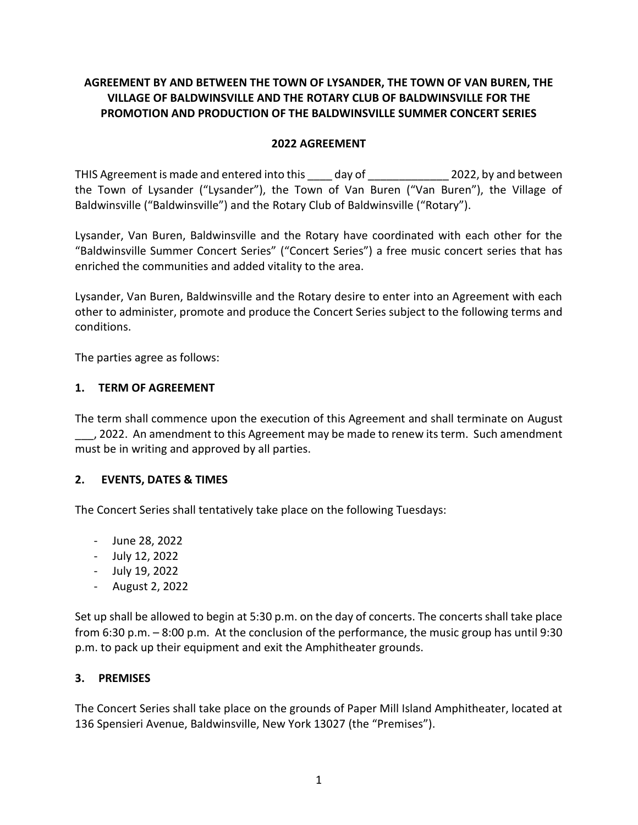# **AGREEMENT BY AND BETWEEN THE TOWN OF LYSANDER, THE TOWN OF VAN BUREN, THE VILLAGE OF BALDWINSVILLE AND THE ROTARY CLUB OF BALDWINSVILLE FOR THE PROMOTION AND PRODUCTION OF THE BALDWINSVILLE SUMMER CONCERT SERIES**

### **2022 AGREEMENT**

THIS Agreement is made and entered into this day of and not apple 2022, by and between the Town of Lysander ("Lysander"), the Town of Van Buren ("Van Buren"), the Village of Baldwinsville ("Baldwinsville") and the Rotary Club of Baldwinsville ("Rotary").

Lysander, Van Buren, Baldwinsville and the Rotary have coordinated with each other for the "Baldwinsville Summer Concert Series" ("Concert Series") a free music concert series that has enriched the communities and added vitality to the area.

Lysander, Van Buren, Baldwinsville and the Rotary desire to enter into an Agreement with each other to administer, promote and produce the Concert Series subject to the following terms and conditions.

The parties agree as follows:

### **1. TERM OF AGREEMENT**

The term shall commence upon the execution of this Agreement and shall terminate on August \_\_\_, 2022. An amendment to this Agreement may be made to renew its term. Such amendment must be in writing and approved by all parties.

## **2. EVENTS, DATES & TIMES**

The Concert Series shall tentatively take place on the following Tuesdays:

- June 28, 2022
- July 12, 2022
- July 19, 2022
- August 2, 2022

Set up shall be allowed to begin at 5:30 p.m. on the day of concerts. The concerts shall take place from 6:30 p.m. – 8:00 p.m. At the conclusion of the performance, the music group has until 9:30 p.m. to pack up their equipment and exit the Amphitheater grounds.

#### **3. PREMISES**

The Concert Series shall take place on the grounds of Paper Mill Island Amphitheater, located at 136 Spensieri Avenue, Baldwinsville, New York 13027 (the "Premises").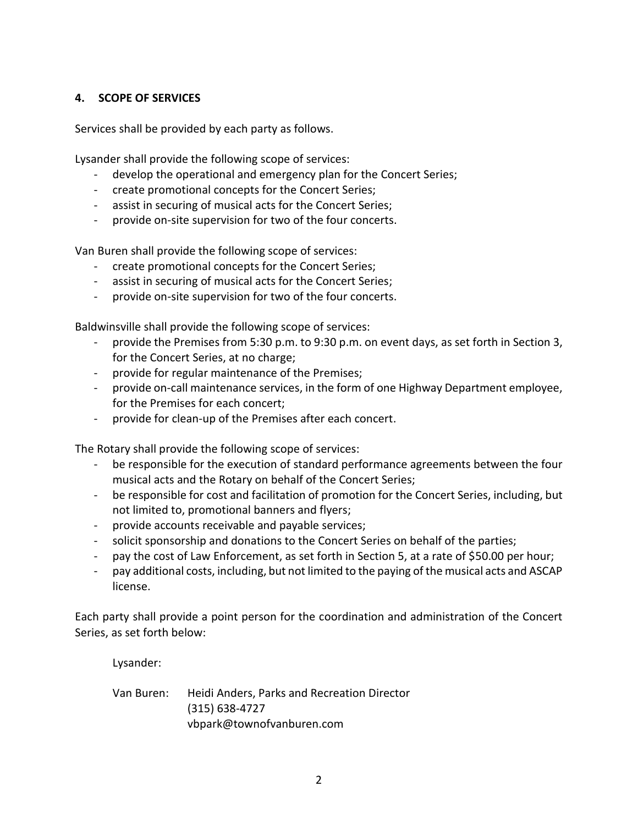#### **4. SCOPE OF SERVICES**

Services shall be provided by each party as follows.

Lysander shall provide the following scope of services:

- develop the operational and emergency plan for the Concert Series;
- create promotional concepts for the Concert Series;
- assist in securing of musical acts for the Concert Series;
- provide on-site supervision for two of the four concerts.

Van Buren shall provide the following scope of services:

- create promotional concepts for the Concert Series;
- assist in securing of musical acts for the Concert Series;
- provide on-site supervision for two of the four concerts.

Baldwinsville shall provide the following scope of services:

- provide the Premises from 5:30 p.m. to 9:30 p.m. on event days, as set forth in Section 3, for the Concert Series, at no charge;
- provide for regular maintenance of the Premises;
- provide on-call maintenance services, in the form of one Highway Department employee, for the Premises for each concert;
- provide for clean-up of the Premises after each concert.

The Rotary shall provide the following scope of services:

- be responsible for the execution of standard performance agreements between the four musical acts and the Rotary on behalf of the Concert Series;
- be responsible for cost and facilitation of promotion for the Concert Series, including, but not limited to, promotional banners and flyers;
- provide accounts receivable and payable services;
- solicit sponsorship and donations to the Concert Series on behalf of the parties;
- pay the cost of Law Enforcement, as set forth in Section 5, at a rate of \$50.00 per hour;
- pay additional costs, including, but not limited to the paying of the musical acts and ASCAP license.

Each party shall provide a point person for the coordination and administration of the Concert Series, as set forth below:

Lysander:

Van Buren: Heidi Anders, Parks and Recreation Director (315) 638-4727 vbpark@townofvanburen.com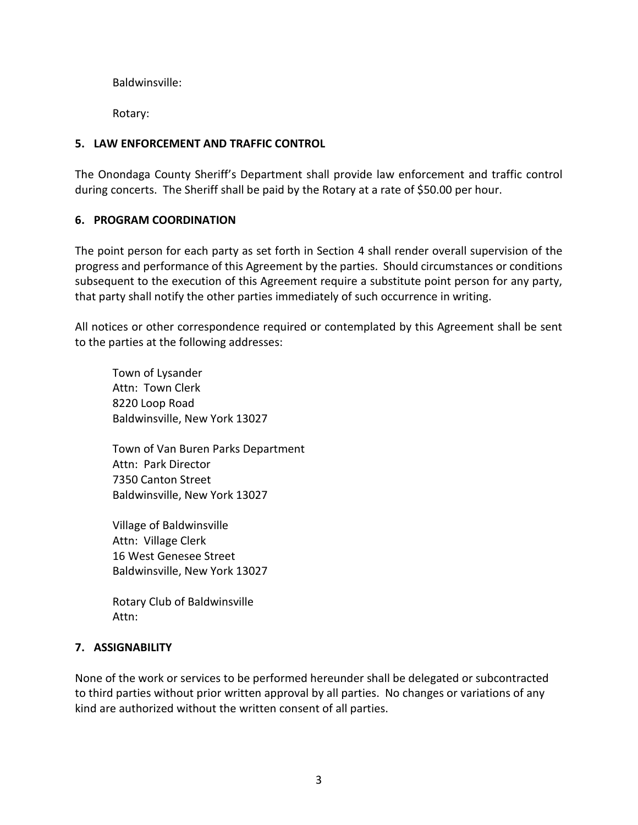Baldwinsville:

Rotary:

## **5. LAW ENFORCEMENT AND TRAFFIC CONTROL**

The Onondaga County Sheriff's Department shall provide law enforcement and traffic control during concerts. The Sheriff shall be paid by the Rotary at a rate of \$50.00 per hour.

# **6. PROGRAM COORDINATION**

The point person for each party as set forth in Section 4 shall render overall supervision of the progress and performance of this Agreement by the parties. Should circumstances or conditions subsequent to the execution of this Agreement require a substitute point person for any party, that party shall notify the other parties immediately of such occurrence in writing.

All notices or other correspondence required or contemplated by this Agreement shall be sent to the parties at the following addresses:

Town of Lysander Attn: Town Clerk 8220 Loop Road Baldwinsville, New York 13027

Town of Van Buren Parks Department Attn: Park Director 7350 Canton Street Baldwinsville, New York 13027

Village of Baldwinsville Attn: Village Clerk 16 West Genesee Street Baldwinsville, New York 13027

Rotary Club of Baldwinsville Attn:

## **7. ASSIGNABILITY**

None of the work or services to be performed hereunder shall be delegated or subcontracted to third parties without prior written approval by all parties. No changes or variations of any kind are authorized without the written consent of all parties.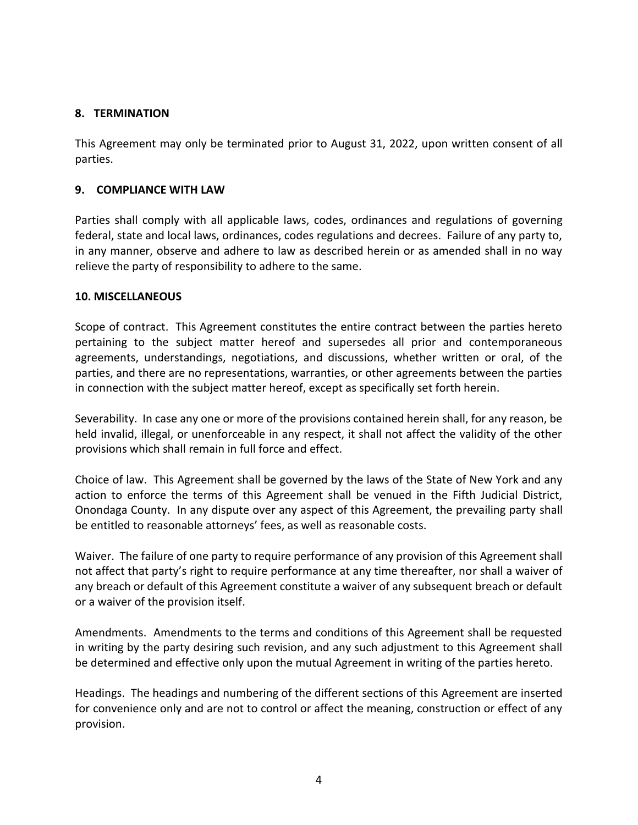### **8. TERMINATION**

This Agreement may only be terminated prior to August 31, 2022, upon written consent of all parties.

### **9. COMPLIANCE WITH LAW**

Parties shall comply with all applicable laws, codes, ordinances and regulations of governing federal, state and local laws, ordinances, codes regulations and decrees. Failure of any party to, in any manner, observe and adhere to law as described herein or as amended shall in no way relieve the party of responsibility to adhere to the same.

#### **10. MISCELLANEOUS**

Scope of contract. This Agreement constitutes the entire contract between the parties hereto pertaining to the subject matter hereof and supersedes all prior and contemporaneous agreements, understandings, negotiations, and discussions, whether written or oral, of the parties, and there are no representations, warranties, or other agreements between the parties in connection with the subject matter hereof, except as specifically set forth herein.

Severability. In case any one or more of the provisions contained herein shall, for any reason, be held invalid, illegal, or unenforceable in any respect, it shall not affect the validity of the other provisions which shall remain in full force and effect.

Choice of law. This Agreement shall be governed by the laws of the State of New York and any action to enforce the terms of this Agreement shall be venued in the Fifth Judicial District, Onondaga County. In any dispute over any aspect of this Agreement, the prevailing party shall be entitled to reasonable attorneys' fees, as well as reasonable costs.

Waiver. The failure of one party to require performance of any provision of this Agreement shall not affect that party's right to require performance at any time thereafter, nor shall a waiver of any breach or default of this Agreement constitute a waiver of any subsequent breach or default or a waiver of the provision itself.

Amendments. Amendments to the terms and conditions of this Agreement shall be requested in writing by the party desiring such revision, and any such adjustment to this Agreement shall be determined and effective only upon the mutual Agreement in writing of the parties hereto.

Headings. The headings and numbering of the different sections of this Agreement are inserted for convenience only and are not to control or affect the meaning, construction or effect of any provision.